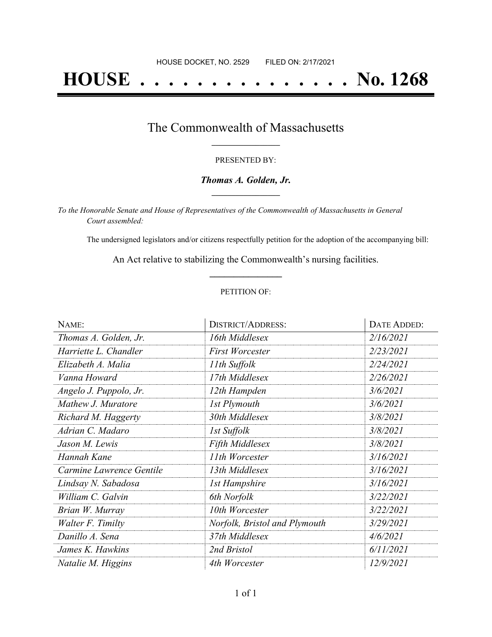# **HOUSE . . . . . . . . . . . . . . . No. 1268**

### The Commonwealth of Massachusetts **\_\_\_\_\_\_\_\_\_\_\_\_\_\_\_\_\_**

#### PRESENTED BY:

#### *Thomas A. Golden, Jr.* **\_\_\_\_\_\_\_\_\_\_\_\_\_\_\_\_\_**

*To the Honorable Senate and House of Representatives of the Commonwealth of Massachusetts in General Court assembled:*

The undersigned legislators and/or citizens respectfully petition for the adoption of the accompanying bill:

An Act relative to stabilizing the Commonwealth's nursing facilities. **\_\_\_\_\_\_\_\_\_\_\_\_\_\_\_**

#### PETITION OF:

| NAME:                    | <b>DISTRICT/ADDRESS:</b>      | DATE ADDED: |
|--------------------------|-------------------------------|-------------|
| Thomas A. Golden, Jr.    | 16th Middlesex                | 2/16/2021   |
| Harriette L. Chandler    | <b>First Worcester</b>        | 2/23/2021   |
| Elizabeth A. Malia       | 11th Suffolk                  | 2/24/2021   |
| Vanna Howard             | 17th Middlesex                | 2/26/2021   |
| Angelo J. Puppolo, Jr.   | 12th Hampden                  | 3/6/2021    |
| Mathew J. Muratore       | 1st Plymouth                  | 3/6/2021    |
| Richard M. Haggerty      | 30th Middlesex                | 3/8/2021    |
| Adrian C. Madaro         | 1st Suffolk                   | 3/8/2021    |
| Jason M. Lewis           | <b>Fifth Middlesex</b>        | 3/8/2021    |
| Hannah Kane              | 11th Worcester                | 3/16/2021   |
| Carmine Lawrence Gentile | 13th Middlesex                | 3/16/2021   |
| Lindsay N. Sabadosa      | <b>1st Hampshire</b>          | 3/16/2021   |
| William C. Galvin        | 6th Norfolk                   | 3/22/2021   |
| Brian W. Murray          | 10th Worcester                | 3/22/2021   |
| Walter F. Timilty        | Norfolk, Bristol and Plymouth | 3/29/2021   |
| Danillo A. Sena          | 37th Middlesex                | 4/6/2021    |
| James K. Hawkins         | 2nd Bristol                   | 6/11/2021   |
| Natalie M. Higgins       | 4th Worcester                 | 12/9/2021   |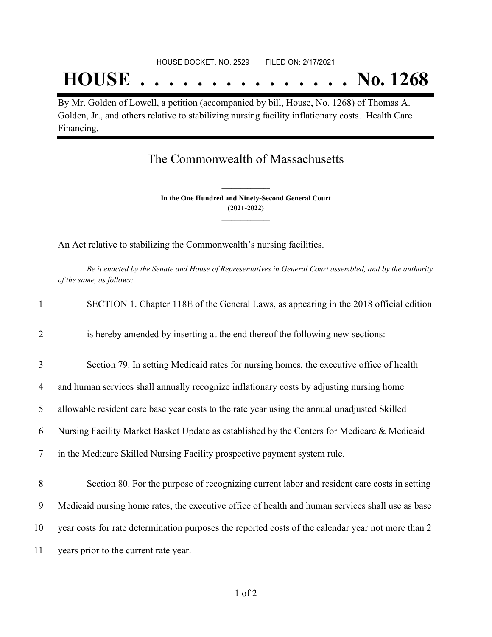## **HOUSE . . . . . . . . . . . . . . . No. 1268**

By Mr. Golden of Lowell, a petition (accompanied by bill, House, No. 1268) of Thomas A. Golden, Jr., and others relative to stabilizing nursing facility inflationary costs. Health Care Financing.

### The Commonwealth of Massachusetts

**In the One Hundred and Ninety-Second General Court (2021-2022) \_\_\_\_\_\_\_\_\_\_\_\_\_\_\_**

**\_\_\_\_\_\_\_\_\_\_\_\_\_\_\_**

An Act relative to stabilizing the Commonwealth's nursing facilities.

Be it enacted by the Senate and House of Representatives in General Court assembled, and by the authority *of the same, as follows:*

| $\mathbf{1}$             | SECTION 1. Chapter 118E of the General Laws, as appearing in the 2018 official edition             |
|--------------------------|----------------------------------------------------------------------------------------------------|
| $\overline{2}$           | is hereby amended by inserting at the end thereof the following new sections:                      |
| 3                        | Section 79. In setting Medicaid rates for nursing homes, the executive office of health            |
| 4                        | and human services shall annually recognize inflationary costs by adjusting nursing home           |
| 5                        | allowable resident care base year costs to the rate year using the annual unadjusted Skilled       |
| 6                        | Nursing Facility Market Basket Update as established by the Centers for Medicare & Medicaid        |
| $\overline{\mathcal{L}}$ | in the Medicare Skilled Nursing Facility prospective payment system rule.                          |
| 8                        | Section 80. For the purpose of recognizing current labor and resident care costs in setting        |
| 9                        | Medicaid nursing home rates, the executive office of health and human services shall use as base   |
|                          |                                                                                                    |
| 10                       | year costs for rate determination purposes the reported costs of the calendar year not more than 2 |
| 11                       | years prior to the current rate year.                                                              |